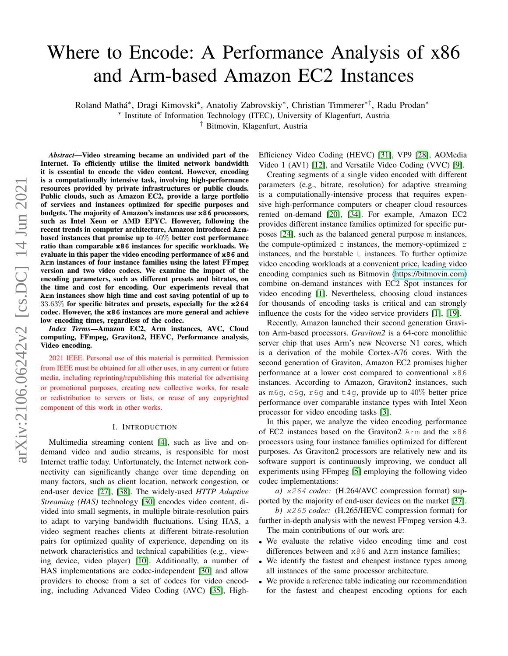# Where to Encode: A Performance Analysis of x86 and Arm-based Amazon EC2 Instances

Roland Mathá\*, Dragi Kimovski\*, Anatoliy Zabrovskiy\*, Christian Timmerer\*<sup>†</sup>, Radu Prodan\*

∗ Institute of Information Technology (ITEC), University of Klagenfurt, Austria

† Bitmovin, Klagenfurt, Austria

*Abstract*—Video streaming became an undivided part of the Internet. To efficiently utilise the limited network bandwidth it is essential to encode the video content. However, encoding is a computationally intensive task, involving high-performance resources provided by private infrastructures or public clouds. Public clouds, such as Amazon EC2, provide a large portfolio of services and instances optimized for specific purposes and budgets. The majority of Amazon's instances use **x86** processors, such as Intel Xeon or AMD EPYC. However, following the recent trends in computer architecture, Amazon introduced **Arm**based instances that promise up to 40% better cost performance ratio than comparable **x86** instances for specific workloads. We evaluate in this paper the video encoding performance of **x86** and **Arm** instances of four instance families using the latest FFmpeg version and two video codecs. We examine the impact of the encoding parameters, such as different presets and bitrates, on the time and cost for encoding. Our experiments reveal that **Arm** instances show high time and cost saving potential of up to 33.63% for specific bitrates and presets, especially for the **x264** codec. However, the **x86** instances are more general and achieve low encoding times, regardless of the codec.

*Index Terms*—Amazon EC2, Arm instances, AVC, Cloud computing, FFmpeg, Graviton2, HEVC, Performance analysis, Video encoding.

2021 IEEE. Personal use of this material is permitted. Permission from IEEE must be obtained for all other uses, in any current or future media, including reprinting/republishing this material for advertising or promotional purposes, creating new collective works, for resale or redistribution to servers or lists, or reuse of any copyrighted component of this work in other works.

## I. INTRODUCTION

Multimedia streaming content [\[4\]](#page-8-0), such as live and ondemand video and audio streams, is responsible for most Internet traffic today. Unfortunately, the Internet network connectivity can significantly change over time depending on many factors, such as client location, network congestion, or end-user device [\[27\]](#page-9-0), [\[38\]](#page-9-1). The widely-used *HTTP Adaptive Streaming (HAS)* technology [\[30\]](#page-9-2) encodes video content, divided into small segments, in multiple bitrate-resolution pairs to adapt to varying bandwidth fluctuations. Using HAS, a video segment reaches clients at different bitrate-resolution pairs for optimized quality of experience, depending on its network characteristics and technical capabilities (e.g., viewing device, video player) [\[10\]](#page-8-1). Additionally, a number of HAS implementations are codec-independent [\[30\]](#page-9-2) and allow providers to choose from a set of codecs for video encoding, including Advanced Video Coding (AVC) [\[35\]](#page-9-3), HighEfficiency Video Coding (HEVC) [\[31\]](#page-9-4), VP9 [\[28\]](#page-9-5), AOMedia Video 1 (AV1) [\[12\]](#page-8-2), and Versatile Video Coding (VVC) [\[9\]](#page-8-3).

Creating segments of a single video encoded with different parameters (e.g., bitrate, resolution) for adaptive streaming is a computationally-intensive process that requires expensive high-performance computers or cheaper cloud resources rented on-demand [\[20\]](#page-8-4), [\[34\]](#page-9-6). For example, Amazon EC2 provides different instance families optimized for specific purposes [\[24\]](#page-9-7), such as the balanced general purpose m instances, the compute-optimized  $\sigma$  instances, the memory-optimized  $\sigma$ instances, and the burstable  $t$  instances. To further optimize video encoding workloads at a convenient price, leading video encoding companies such as Bitmovin [\(https://bitmovin](https://bitmovin.com).com) combine on-demand instances with EC2 Spot instances for video encoding [\[1\]](#page-8-5). Nevertheless, choosing cloud instances for thousands of encoding tasks is critical and can strongly influence the costs for the video service providers [\[1\]](#page-8-5), [\[19\]](#page-8-6).

Recently, Amazon launched their second generation Graviton Arm-based processors. *Graviton2* is a 64-core monolithic server chip that uses Arm's new Neoverse N1 cores, which is a derivation of the mobile Cortex-A76 cores. With the second generation of Graviton, Amazon EC2 promises higher performance at a lower cost compared to conventional x86 instances. According to Amazon, Graviton2 instances, such as m6g, c6g, r6g and t4g, provide up to 40% better price performance over comparable instance types with Intel Xeon processor for video encoding tasks [\[3\]](#page-8-7).

In this paper, we analyze the video encoding performance of EC2 instances based on the Graviton2 Arm and the x86 processors using four instance families optimized for different purposes. As Graviton2 processors are relatively new and its software support is continuously improving, we conduct all experiments using FFmpeg [\[5\]](#page-8-8) employing the following video codec implementations:

*a)* x264 *codec:* (H.264/AVC compression format) supported by the majority of end-user devices on the market [\[37\]](#page-9-8).

*b)* x265 *codec:* (H.265/HEVC compression format) for further in-depth analysis with the newest FFmpeg version 4.3.

The main contributions of our work are: • We evaluate the relative video encoding time and cost

- differences between and x86 and Arm instance families;
- We identify the fastest and cheapest instance types among all instances of the same processor architecture.
- We provide a reference table indicating our recommendation for the fastest and cheapest encoding options for each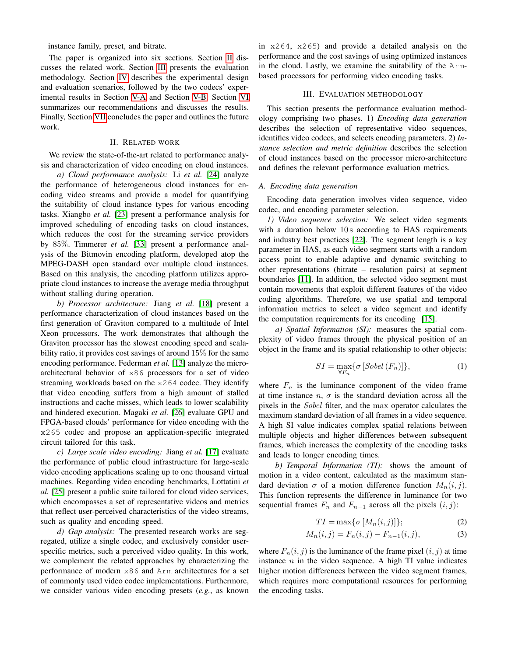instance family, preset, and bitrate.

The paper is organized into six sections. Section [II](#page-1-0) discusses the related work. Section [III](#page-1-1) presents the evaluation methodology. Section [IV](#page-2-0) describes the experimental design and evaluation scenarios, followed by the two codecs' experimental results in Section [V-A](#page-3-0) and Section [V-B.](#page-5-0) Section [VI](#page-5-1) summarizes our recommendations and discusses the results. Finally, Section [VII](#page-8-9) concludes the paper and outlines the future work.

# II. RELATED WORK

<span id="page-1-0"></span>We review the state-of-the-art related to performance analysis and characterization of video encoding on cloud instances.

*a) Cloud performance analysis:* Li *et al.* [\[24\]](#page-9-7) analyze the performance of heterogeneous cloud instances for encoding video streams and provide a model for quantifying the suitability of cloud instance types for various encoding tasks. Xiangbo *et al.* [\[23\]](#page-8-10) present a performance analysis for improved scheduling of encoding tasks on cloud instances, which reduces the cost for the streaming service providers by 85%. Timmerer *et al.* [\[33\]](#page-9-9) present a performance analysis of the Bitmovin encoding platform, developed atop the MPEG-DASH open standard over multiple cloud instances. Based on this analysis, the encoding platform utilizes appropriate cloud instances to increase the average media throughput without stalling during operation.

*b) Processor architecture:* Jiang *et al.* [\[18\]](#page-8-11) present a performance characterization of cloud instances based on the first generation of Graviton compared to a multitude of Intel Xeon processors. The work demonstrates that although the Graviton processor has the slowest encoding speed and scalability ratio, it provides cost savings of around 15% for the same encoding performance. Federman *et al.* [\[13\]](#page-8-12) analyze the microarchitectural behavior of x86 processors for a set of video streaming workloads based on the x264 codec. They identify that video encoding suffers from a high amount of stalled instructions and cache misses, which leads to lower scalability and hindered execution. Magaki *et al.* [\[26\]](#page-9-10) evaluate GPU and FPGA-based clouds' performance for video encoding with the x265 codec and propose an application-specific integrated circuit tailored for this task.

*c) Large scale video encoding:* Jiang *et al.* [\[17\]](#page-8-13) evaluate the performance of public cloud infrastructure for large-scale video encoding applications scaling up to one thousand virtual machines. Regarding video encoding benchmarks, Lottatini *et al.* [\[25\]](#page-9-11) present a public suite tailored for cloud video services, which encompasses a set of representative videos and metrics that reflect user-perceived characteristics of the video streams, such as quality and encoding speed.

*d) Gap analysis:* The presented research works are segregated, utilize a single codec, and exclusively consider userspecific metrics, such a perceived video quality. In this work, we complement the related approaches by characterizing the performance of modern x86 and Arm architectures for a set of commonly used video codec implementations. Furthermore, we consider various video encoding presets (*e.g.*, as known in x264, x265) and provide a detailed analysis on the performance and the cost savings of using optimized instances in the cloud. Lastly, we examine the suitability of the Armbased processors for performing video encoding tasks.

## III. EVALUATION METHODOLOGY

<span id="page-1-1"></span>This section presents the performance evaluation methodology comprising two phases. 1) *Encoding data generation* describes the selection of representative video sequences, identifies video codecs, and selects encoding parameters. 2) *Instance selection and metric definition* describes the selection of cloud instances based on the processor micro-architecture and defines the relevant performance evaluation metrics.

# *A. Encoding data generation*

Encoding data generation involves video sequence, video codec, and encoding parameter selection.

*1) Video sequence selection:* We select video segments with a duration below 10s according to HAS requirements and industry best practices [\[22\]](#page-8-14). The segment length is a key parameter in HAS, as each video segment starts with a random access point to enable adaptive and dynamic switching to other representations (bitrate – resolution pairs) at segment boundaries [\[11\]](#page-8-15). In addition, the selected video segment must contain movements that exploit different features of the video coding algorithms. Therefore, we use spatial and temporal information metrics to select a video segment and identify the computation requirements for its encoding [\[15\]](#page-8-16).

*a) Spatial Information (SI):* measures the spatial complexity of video frames through the physical position of an object in the frame and its spatial relationship to other objects:

$$
SI = \max_{\forall F_n} \{ \sigma \left[ Sobel \left( F_n \right) \right] \},\tag{1}
$$

where  $F_n$  is the luminance component of the video frame at time instance  $n$ ,  $\sigma$  is the standard deviation across all the pixels in the Sobel filter, and the max operator calculates the maximum standard deviation of all frames in a video sequence. A high SI value indicates complex spatial relations between multiple objects and higher differences between subsequent frames, which increases the complexity of the encoding tasks and leads to longer encoding times.

*b) Temporal Information (TI):* shows the amount of motion in a video content, calculated as the maximum standard deviation  $\sigma$  of a motion difference function  $M_n(i, j)$ . This function represents the difference in luminance for two sequential frames  $F_n$  and  $F_{n-1}$  across all the pixels  $(i, j)$ :

$$
TI = \max\{\sigma \left[M_n(i,j)\right]\};\tag{2}
$$

$$
M_n(i,j) = F_n(i,j) - F_{n-1}(i,j),
$$
\n(3)

where  $F_n(i, j)$  is the luminance of the frame pixel  $(i, j)$  at time instance  $n$  in the video sequence. A high TI value indicates higher motion differences between the video segment frames, which requires more computational resources for performing the encoding tasks.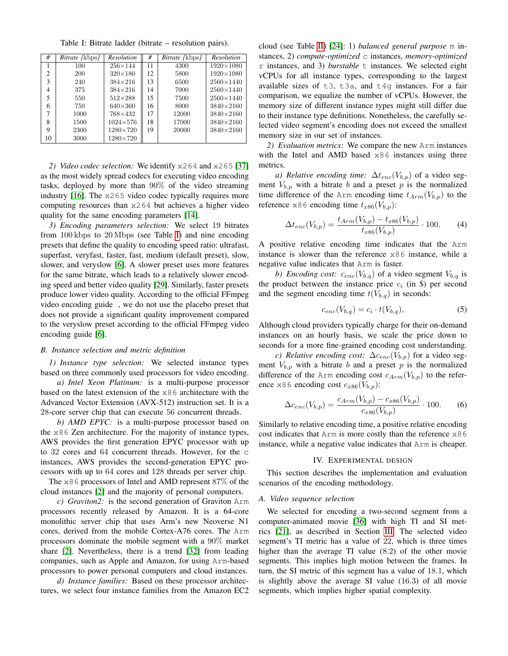Table I: Bitrate ladder (bitrate – resolution pairs).

<span id="page-2-1"></span>

| #              | <i>Bitrate</i> [kbps] | <b>Resolution</b> | #  | Bitrate [kbps] | <b>Resolution</b>  |
|----------------|-----------------------|-------------------|----|----------------|--------------------|
|                | 100                   | $256 \times 144$  | 11 | 4300           | $1920 \times 1080$ |
| $\overline{c}$ | 200                   | $320\times180$    | 12 | 5800           | $1920 \times 1080$ |
| 3              | 240                   | $384\times216$    | 13 | 6500           | $2560\times1440$   |
| 4              | 375                   | $384 \times 216$  | 14 | 7000           | $2560\times1440$   |
| 5              | 550                   | $512\times288$    | 15 | 7500           | $2560\times1440$   |
| 6              | 750                   | $640\times360$    | 16 | 8000           | $3840 \times 2160$ |
|                | 1000                  | 768×432           | 17 | 12000          | $3840 \times 2160$ |
| 8              | 1500                  | $1024 \times 576$ | 18 | 17000          | $3840 \times 2160$ |
| Q              | 2300                  | $1280 \times 720$ | 19 | 20000          | $3840 \times 2160$ |
| 10             | 3000                  | $1280\times720$   |    |                |                    |

*2) Video codec selection:* We identify x264 and x265 [\[37\]](#page-9-8) as the most widely spread codecs for executing video encoding tasks, deployed by more than 90% of the video streaming industry [\[16\]](#page-8-17). The x265 video codec typically requires more computing resources than x264 but achieves a higher video quality for the same encoding parameters [\[14\]](#page-8-18).

*3) Encoding parameters selection:* We select 19 bitrates from 100 kbps to 20 Mbps (see Table [I\)](#page-2-1) and nine encoding presets that define the quality to encoding speed ratio: ultrafast, superfast, veryfast, faster, fast, medium (default preset), slow, slower, and veryslow [\[6\]](#page-8-19). A slower preset uses more features for the same bitrate, which leads to a relatively slower encoding speed and better video quality [\[29\]](#page-9-12). Similarly, faster presets produce lower video quality. According to the official FFmpeg video encoding guide , we do not use the placebo preset that does not provide a significant quality improvement compared to the veryslow preset according to the official FFmpeg video encoding guide [\[6\]](#page-8-19).

## *B. Instance selection and metric definition*

*1) Instance type selection:* We selected instance types based on three commonly used processors for video encoding.

*a) Intel Xeon Platinum:* is a multi-purpose processor based on the latest extension of the x86 architecture with the Advanced Vector Extension (AVX-512) instruction set. It is a 28-core server chip that can execute 56 concurrent threads.

*b) AMD EPYC:* is a multi-purpose processor based on the x86 Zen architecture. For the majority of instance types, AWS provides the first generation EPYC processor with up to 32 cores and 64 concurrent threads. However, for the c instances, AWS provides the second-generation EPYC processors with up to 64 cores and 128 threads per server chip.

The x86 processors of Intel and AMD represent 87% of the cloud instances [\[2\]](#page-8-20) and the majority of personal computers.

*c) Graviton2:* is the second generation of Graviton Arm processors recently released by Amazon. It is a 64-core monolithic server chip that uses Arm's new Neoverse N1 cores, derived from the mobile Cortex-A76 cores. The Arm processors dominate the mobile segment with a 90% market share [\[2\]](#page-8-20). Nevertheless, there is a trend [\[32\]](#page-9-13) from leading companies, such as Apple and Amazon, for using Arm-based processors to power personal computers and cloud instances.

*d) Instance families:* Based on these processor architectures, we select four instance families from the Amazon EC2 cloud (see Table [II\)](#page-3-1) [\[24\]](#page-9-7): 1) *balanced general purpose* m instances, 2) *compute-optimized* c instances, *memory-optimized* r instances, and 3) *burstable* t instances. We selected eight vCPUs for all instance types, corresponding to the largest available sizes of  $t3$ ,  $t3a$ , and  $t4q$  instances. For a fair comparison, we equalize the number of vCPUs. However, the memory size of different instance types might still differ due to their instance type definitions. Nonetheless, the carefully selected video segment's encoding does not exceed the smallest memory size in our set of instances.

*2) Evaluation metrics:* We compare the new Arm instances with the Intel and AMD based x86 instances using three metrics.

*a) Relative encoding time:*  $\Delta t_{enc}(V_{b,p})$  of a video segment  $V_{b,p}$  with a bitrate b and a preset p is the normalized time difference of the Arm encoding time  $t_{Arm}(V_{b,p})$  to the reference x86 encoding time  $t_{x86}(V_{b,p})$ :

$$
\Delta t_{enc}(V_{b,p}) = \frac{t_{Arm}(V_{b,p}) - t_{x86}(V_{b,p})}{t_{x86}(V_{b,p})} \cdot 100. \tag{4}
$$

A positive relative encoding time indicates that the Arm instance is slower than the reference x86 instance, while a negative value indicates that Arm is faster.

*b)* Encoding cost:  $c_{enc}(V_{b,q})$  of a video segment  $V_{b,q}$  is the product between the instance price  $c_i$  (in \$) per second and the segment encoding time  $t(V_{b,q})$  in seconds:

$$
c_{enc}(V_{b,q}) = c_i \cdot t(V_{b,q}), \tag{5}
$$

Although cloud providers typically charge for their on-demand instances on an hourly basis, we scale the price down to seconds for a more fine-grained encoding cost understanding.

*c)* Relative encoding cost:  $\Delta c_{enc}(V_{b,p})$  for a video segment  $V_{b,p}$  with a bitrate b and a preset p is the normalized difference of the Arm encoding cost  $c_{Arm}(V_{b,p})$  to the reference x86 encoding cost  $c_{x86}(V_{b,p})$ :

$$
\Delta c_{enc}(V_{b,p}) = \frac{c_{Arm}(V_{b,p}) - c_{x86}(V_{b,p})}{c_{x86}(V_{b,p})} \cdot 100. \tag{6}
$$

Similarly to relative encoding time, a positive relative encoding cost indicates that Arm is more costly than the reference x86 instance, while a negative value indicates that Arm is cheaper.

#### IV. EXPERIMENTAL DESIGN

<span id="page-2-0"></span>This section describes the implementation and evaluation scenarios of the encoding methodology.

# *A. Video sequence selection*

We selected for encoding a two-second segment from a computer-animated movie [\[36\]](#page-9-14) with high TI and SI metrics [\[21\]](#page-8-21), as described in Section [III.](#page-1-1) The selected video segment's TI metric has a value of 22, which is three times higher than the average TI value (8.2) of the other movie segments. This implies high motion between the frames. In turn, the SI metric of this segment has a value of 18.1, which is slightly above the average SI value (16.3) of all movie segments, which implies higher spatial complexity.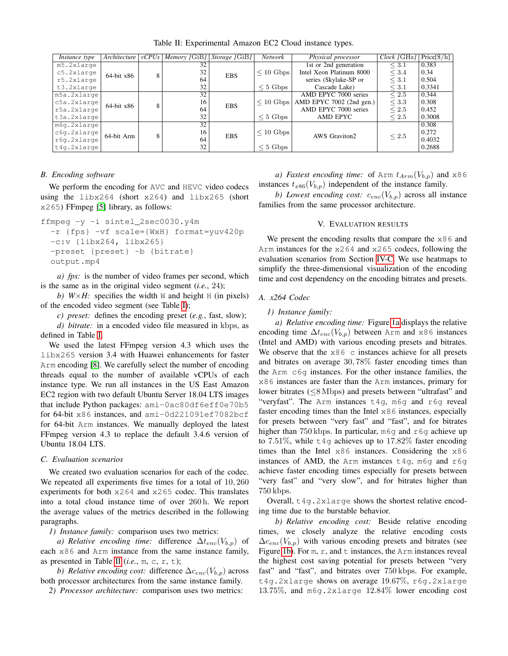<span id="page-3-1"></span>

| <i>Instance type</i> | Architecture    | vCPUs | Memory [GiB] Storage [GiB] |                              | Network                  | Physical processor                        | Clock [GHz] | $Price[\frac{1}{2}h]$ |
|----------------------|-----------------|-------|----------------------------|------------------------------|--------------------------|-------------------------------------------|-------------|-----------------------|
| m5.2xlarge           |                 | 8     | 32                         |                              |                          | 1st or 2nd generation                     | $\leq 3.1$  | 0.383                 |
| $c5.2x1$ arqe        | $64$ -bit $x86$ |       | 32<br><b>EBS</b>           | $\leq 10$ Gbps               | Intel Xeon Platinum 8000 | $\leq 3.4$                                | 0.34        |                       |
| r5.2xlarge           |                 |       | 64                         |                              |                          | series (Skylake-SP or                     | $\leq 3.1$  | 0.504                 |
| t3.2xlarge           |                 |       | 32                         |                              | $< 5$ Gbps               | Cascade Lake)                             | $\leq 3.1$  | 0.3341                |
| m5a.2xlarge          | $64$ -bit $x86$ | 8     | 32                         | 16<br><b>EBS</b><br>64<br>32 |                          | AMD EPYC 7000 series                      | $\leq 2.5$  | 0.344                 |
| c5a.2xlarge          |                 |       |                            |                              |                          | $\leq$ 10 Gbps   AMD EPYC 7002 (2nd gen.) | $\leq 3.3$  | 0.308                 |
| r5a.2xlarge          |                 |       |                            |                              |                          | AMD EPYC 7000 series                      | $\leq 2.5$  | 0.452                 |
| t3a.2xlarge          |                 |       |                            |                              | $< 5$ Gbps               | AMD EPYC                                  | $\leq 2.5$  | 0.3008                |
| m6q.2xlarge          |                 | 8     | $\overline{32}$            | 16<br><b>EBS</b><br>64<br>32 | $\leq 10$ Gbps           | <b>AWS</b> Graviton2                      | $\leq 2.5$  | 0.308                 |
| c6g.2xlarge          | 64-bit Arm      |       |                            |                              |                          |                                           |             | 0.272                 |
| r6q.2xlarge          |                 |       |                            |                              |                          |                                           |             | 0.4032                |
| t4g.2xlarge          |                 |       |                            |                              | $\leq 5$ Gbps            |                                           |             | 0.2688                |

Table II: Experimental Amazon EC2 Cloud instance types.

## *B. Encoding software*

We perform the encoding for AVC and HEVC video codecs using the  $\frac{1 \text{ibx264}}{\text{short}}$  (short  $\frac{x264}{\text{and}}$  and  $\frac{1 \text{ibx265}}{\text{short}}$ x265) FFmpeg [\[5\]](#page-8-8) library, as follows:

```
ffmpeg -y -i sintel_2sec0030.y4m
```

```
-r {fps} -vf scale={WxH} format=yuv420p
-c:v {libx264, libx265}
-preset {preset} -b {bitrate}
output.mp4
```
*a) fps:* is the number of video frames per second, which is the same as in the original video segment (*i.e.*, 24);

*b)*  $W \times H$ : specifies the width W and height H (in pixels) of the encoded video segment (see Table [I\)](#page-2-1);

*c) preset:* defines the encoding preset (*e.g.*, fast, slow);

*d) bitrate:* in a encoded video file measured in kbps, as defined in Table [I.](#page-2-1)

We used the latest FFmpeg version 4.3 which uses the libx265 version 3.4 with Huawei enhancements for faster Arm encoding [\[8\]](#page-8-22). We carefully select the number of encoding threads equal to the number of available vCPUs of each instance type. We run all instances in the US East Amazon EC2 region with two default Ubuntu Server 18.04 LTS images that include Python packages: ami-0ac80df6eff0e70b5 for 64-bit x86 instances, and ami-0d221091ef7082bcf for 64-bit Arm instances. We manually deployed the latest FFmpeg version 4.3 to replace the default 3.4.6 version of Ubuntu 18.04 LTS.

# <span id="page-3-2"></span>*C. Evaluation scenarios*

We created two evaluation scenarios for each of the codec. We repeated all experiments five times for a total of  $10,260$ experiments for both x264 and x265 codec. This translates into a total cloud instance time of over 260 h. We report the average values of the metrics described in the following paragraphs.

*1) Instance family:* comparison uses two metrics:

*a) Relative encoding time:* difference  $\Delta t_{enc}(V_{b,p})$  of each x86 and Arm instance from the same instance family, as presented in Table [II](#page-3-1) (*i.e.*, m, c, r, t);

*b)* Relative encoding cost: difference  $\Delta c_{enc}(V_{b,p})$  across both processor architectures from the same instance family.

*2) Processor architecture:* comparison uses two metrics:

*a) Fastest encoding time:* of Arm  $t_{Arm}(V_{b,p})$  and x86 instances  $t_{x86}(V_{b,p})$  independent of the instance family.

*b)* Lowest encoding cost:  $c_{enc}(V_{b,p})$  across all instance families from the same processor architecture.

# V. EVALUATION RESULTS

We present the encoding results that compare the  $x86$  and Arm instances for the x264 and x265 codecs, following the evaluation scenarios from Section [IV-C.](#page-3-2) We use heatmaps to simplify the three-dimensional visualization of the encoding time and cost dependency on the encoding bitrates and presets.

## <span id="page-3-0"></span>*A. x264 Codec*

*1) Instance family:*

*a) Relative encoding time:* Figure [1a](#page-4-0) displays the relative encoding time  $\Delta t_{enc}(V_{b,p})$  between Arm and x86 instances (Intel and AMD) with various encoding presets and bitrates. We observe that the  $x86$  c instances achieve for all presets and bitrates on average 30, 78% faster encoding times than the Arm c6g instances. For the other instance families, the x86 instances are faster than the Arm instances, primary for lower bitrates (≤8 Mbps) and presets between "ultrafast" and "veryfast". The Arm instances t4g, m6g and r6g reveal faster encoding times than the Intel x86 instances, especially for presets between "very fast" and "fast", and for bitrates higher than 750 kbps. In particular, m6g and r6g achieve up to 7.51%, while  $t4q$  achieves up to 17.82% faster encoding times than the Intel x86 instances. Considering the x86 instances of AMD, the Arm instances  $t4q$ , m6q and r6q achieve faster encoding times especially for presets between "very fast" and "very slow", and for bitrates higher than 750 kbps.

Overall, t4g.2xlarge shows the shortest relative encoding time due to the burstable behavior.

*b) Relative encoding cost:* Beside relative encoding times, we closely analyze the relative encoding costs  $\Delta c_{enc}(V_{b,p})$  with various encoding presets and bitrates (see Figure [1b\)](#page-4-0). For  $m$ ,  $r$ , and  $t$  instances, the Arm instances reveal the highest cost saving potential for presets between "very fast" and "fast", and bitrates over 750 kbps. For example, t4g.2xlarge shows on average 19.67%, r6g.2xlarge 13.75%, and m6g.2xlarge 12.84% lower encoding cost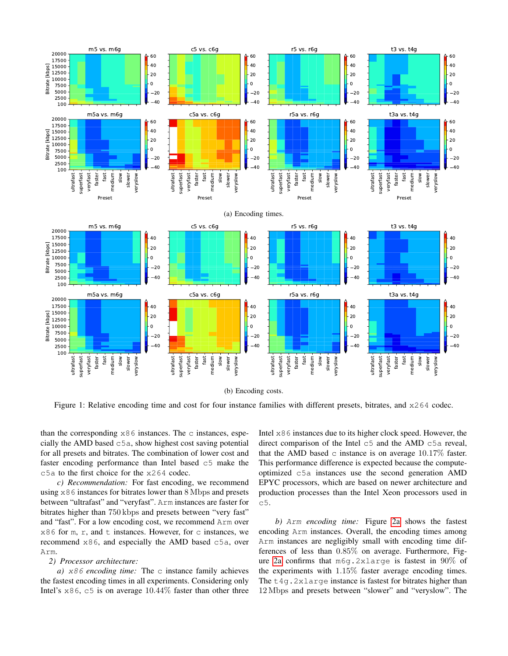<span id="page-4-0"></span>

(b) Encoding costs.

Figure 1: Relative encoding time and cost for four instance families with different presets, bitrates, and  $x264$  codec.

than the corresponding  $x86$  instances. The c instances, especially the AMD based c5a, show highest cost saving potential for all presets and bitrates. The combination of lower cost and faster encoding performance than Intel based c5 make the c5a to the first choice for the x264 codec.

*c) Recommendation:* For fast encoding, we recommend using  $x86$  instances for bitrates lower than  $8$  Mbps and presets between "ultrafast" and "veryfast". Arm instances are faster for bitrates higher than 750 kbps and presets between "very fast" and "fast". For a low encoding cost, we recommend Arm over  $x86$  for m, r, and t instances. However, for c instances, we recommend x86, and especially the AMD based c5a, over Arm.

#### *2) Processor architecture:*

*a)* x86 *encoding time:* The c instance family achieves the fastest encoding times in all experiments. Considering only Intel's  $\times$ 86, c5 is on average 10.44% faster than other three Intel x86 instances due to its higher clock speed. However, the direct comparison of the Intel c5 and the AMD c5a reveal, that the AMD based  $\circ$  instance is on average 10.17% faster. This performance difference is expected because the computeoptimized c5a instances use the second generation AMD EPYC processors, which are based on newer architecture and production processes than the Intel Xeon processors used in c5.

*b)* Arm *encoding time:* Figure [2a](#page-5-2) shows the fastest encoding Arm instances. Overall, the encoding times among Arm instances are negligibly small with encoding time differences of less than 0.85% on average. Furthermore, Figure [2a](#page-5-2) confirms that m6g.2xlarge is fastest in 90% of the experiments with 1.15% faster average encoding times. The  $t4q$ . 2xlarge instance is fastest for bitrates higher than 12 Mbps and presets between "slower" and "veryslow". The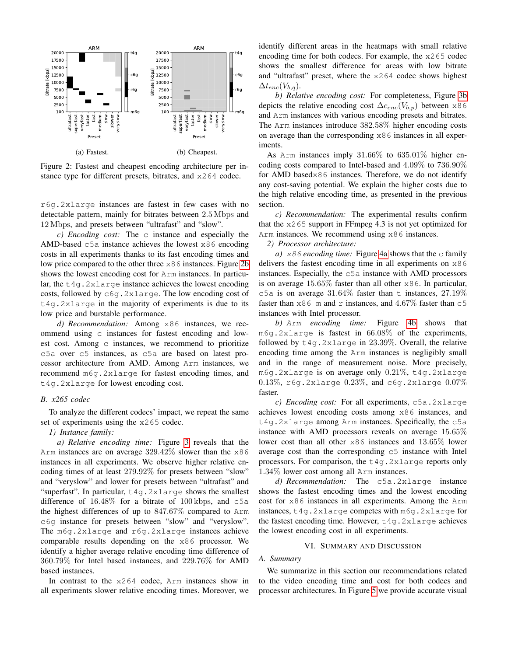<span id="page-5-2"></span>

Figure 2: Fastest and cheapest encoding architecture per instance type for different presets, bitrates, and x264 codec.

r6g.2xlarge instances are fastest in few cases with no detectable pattern, mainly for bitrates between 2.5 Mbps and 12 Mbps, and presets between "ultrafast" and "slow".

*c) Encoding cost:* The c instance and especially the AMD-based  $c5a$  instance achieves the lowest  $x86$  encoding costs in all experiments thanks to its fast encoding times and low price compared to the other three x86 instances. Figure [2b](#page-5-2) shows the lowest encoding cost for Arm instances. In particular, the  $t4q$ .  $2x$ large instance achieves the lowest encoding costs, followed by c6g.2xlarge. The low encoding cost of t4g.2xlarge in the majority of experiments is due to its low price and burstable performance.

*d) Recommendation:* Among x86 instances, we recommend using c instances for fastest encoding and lowest cost. Among c instances, we recommend to prioritize c5a over c5 instances, as c5a are based on latest processor architecture from AMD. Among Arm instances, we recommend m6g.2xlarge for fastest encoding times, and t4g.2xlarge for lowest encoding cost.

#### <span id="page-5-0"></span>*B. x265 codec*

To analyze the different codecs' impact, we repeat the same set of experiments using the x265 codec.

#### *1) Instance family:*

*a) Relative encoding time:* Figure [3](#page-6-0) reveals that the Arm instances are on average  $329.42\%$  slower than the  $x86$ instances in all experiments. We observe higher relative encoding times of at least 279.92% for presets between "slow" and "veryslow" and lower for presets between "ultrafast" and "superfast". In particular,  $t4q$ . 2xlarge shows the smallest difference of  $16.48\%$  for a bitrate of  $100 \text{ kbps}$ , and  $c5a$ the highest differences of up to 847.67% compared to Arm c6g instance for presets between "slow" and "veryslow". The m6g.2xlarge and r6g.2xlarge instances achieve comparable results depending on the x86 processor. We identify a higher average relative encoding time difference of 360.79% for Intel based instances, and 229.76% for AMD based instances.

In contrast to the x264 codec, Arm instances show in all experiments slower relative encoding times. Moreover, we identify different areas in the heatmaps with small relative encoding time for both codecs. For example, the x265 codec shows the smallest difference for areas with low bitrate and "ultrafast" preset, where the x264 codec shows highest  $\Delta t_{enc}(V_{b,q}).$ 

*b) Relative encoding cost:* For completeness, Figure [3b](#page-6-0) depicts the relative encoding cost  $\Delta c_{enc}(V_{b,p})$  between x86 and Arm instances with various encoding presets and bitrates. The Arm instances introduce 382.58% higher encoding costs on average than the corresponding  $x86$  instances in all experiments.

As Arm instances imply 31.66% to 635.01% higher encoding costs compared to Intel-based and 4.09% to 736.90% for AMD basedx86 instances. Therefore, we do not identify any cost-saving potential. We explain the higher costs due to the high relative encoding time, as presented in the previous section.

*c) Recommendation:* The experimental results confirm that the x265 support in FFmpeg 4.3 is not yet optimized for Arm instances. We recommend using x86 instances.

*2) Processor architecture:*

*a)* x86 *encoding time:* Figure [4a](#page-6-1) shows that the c family delivers the fastest encoding time in all experiments on x86 instances. Especially, the c5a instance with AMD processors is on average 15.65% faster than all other x86. In particular, c5a is on average  $31.64\%$  faster than t instances,  $27.19\%$ faster than  $x86$  m and r instances, and  $4.67\%$  faster than  $c5$ instances with Intel processor.

*b)* Arm *encoding time:* Figure [4b](#page-6-1) shows that m6g.2xlarge is fastest in 66.08% of the experiments, followed by  $t4q$ . 2xlarge in 23.39%. Overall, the relative encoding time among the Arm instances is negligibly small and in the range of measurement noise. More precisely, m6g.2xlarge is on average only 0.21%, t4g.2xlarge 0.13%, r6g.2xlarge  $0.23\%$ , and c6g.2xlarge  $0.07\%$ faster.

*c) Encoding cost:* For all experiments, c5a.2xlarge achieves lowest encoding costs among x86 instances, and t4g.2xlarge among Arm instances. Specifically, the c5a instance with AMD processors reveals on average 15.65% lower cost than all other x86 instances and 13.65% lower average cost than the corresponding  $c5$  instance with Intel processors. For comparison, the  $t_4q$ .  $2x$ large reports only 1.34% lower cost among all Arm instances.

*d) Recommendation:* The c5a.2xlarge instance shows the fastest encoding times and the lowest encoding cost for x86 instances in all experiments. Among the Arm instances, t4g.2xlarge competes with m6g.2xlarge for the fastest encoding time. However, t4g.2xlarge achieves the lowest encoding cost in all experiments.

## VI. SUMMARY AND DISCUSSION

# <span id="page-5-1"></span>*A. Summary*

We summarize in this section our recommendations related to the video encoding time and cost for both codecs and processor architectures. In Figure [5](#page-7-0) we provide accurate visual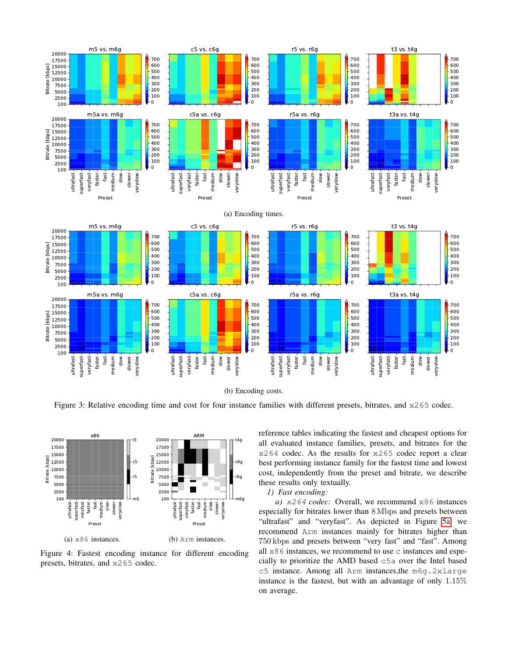<span id="page-6-0"></span>

(b) Encoding costs.

Figure 3: Relative encoding time and cost for four instance families with different presets, bitrates, and  $x265$  codec.

<span id="page-6-1"></span>

Figure 4: Fastest encoding instance for different encoding presets, bitrates, and x265 codec.

reference tables indicating the fastest and cheapest options for all evaluated instance families, presets, and bitrates for the x264 codec. As the results for x265 codec report a clear best performing instance family for the fastest time and lowest cost, independently from the preset and bitrate, we describe these results only textually.

# *1) Fast encoding:*

*a)* x264 *codec:* Overall, we recommend x86 instances especially for bitrates lower than 8 Mbps and presets between "ultrafast" and "veryfast". As depicted in Figure [5a,](#page-7-0) we recommend Arm instances mainly for bitrates higher than 750 kbps and presets between "very fast" and "fast". Among all  $x86$  instances, we recommend to use c instances and especially to prioritize the AMD based c5a over the Intel based c5 instance. Among all Arm instances,the m6g.2xlarge instance is the fastest, but with an advantage of only 1.15% on average.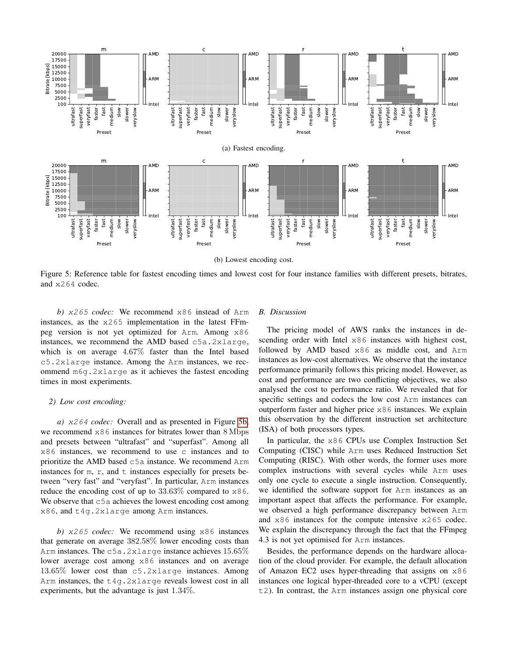<span id="page-7-0"></span>

(b) Lowest encoding cost.

Figure 5: Reference table for fastest encoding times and lowest cost for four instance families with different presets, bitrates, and x264 codec.

*b)* x265 *codec:* We recommend x86 instead of Arm instances, as the  $x265$  implementation in the latest FFmpeg version is not yet optimized for Arm. Among x86 instances, we recommend the AMD based c5a.2xlarge, which is on average 4.67% faster than the Intel based c5.2xlarge instance. Among the Arm instances, we recommend m6g.2xlarge as it achieves the fastest encoding times in most experiments.

## *2) Low cost encoding:*

*a)* x264 *codec:* Overall and as presented in Figure [5b,](#page-7-0) we recommend x86 instances for bitrates lower than 8 Mbps and presets between "ultrafast" and "superfast". Among all x86 instances, we recommend to use c instances and to prioritize the AMD based c5a instance. We recommend Arm instances for m,  $r$ , and  $t$  instances especially for presets between "very fast" and "veryfast". In particular, Arm instances reduce the encoding cost of up to 33.63% compared to x86. We observe that  $c5a$  achieves the lowest encoding cost among x86, and t4g.2xlarge among Arm instances.

*b)* x265 *codec:* We recommend using x86 instances that generate on average 382.58% lower encoding costs than Arm instances. The c5a.2xlarge instance achieves  $15.65\%$ lower average cost among x86 instances and on average 13.65% lower cost than c5.2xlarge instances. Among Arm instances, the t4g.2xlarge reveals lowest cost in all experiments, but the advantage is just 1.34%.

#### *B. Discussion*

The pricing model of AWS ranks the instances in descending order with Intel x86 instances with highest cost, followed by AMD based x86 as middle cost, and Arm instances as low-cost alternatives. We observe that the instance performance primarily follows this pricing model. However, as cost and performance are two conflicting objectives, we also analysed the cost to performance ratio. We revealed that for specific settings and codecs the low cost Arm instances can outperform faster and higher price x86 instances. We explain this observation by the different instruction set architecture (ISA) of both processors types.

In particular, the x86 CPUs use Complex Instruction Set Computing (CISC) while Arm uses Reduced Instruction Set Computing (RISC). With other words, the former uses more complex instructions with several cycles while Arm uses only one cycle to execute a single instruction. Consequently, we identified the software support for Arm instances as an important aspect that affects the performance. For example, we observed a high performance discrepancy between Arm and x86 instances for the compute intensive x265 codec. We explain the discrepancy through the fact that the FFmpeg 4.3 is not yet optimised for Arm instances.

Besides, the performance depends on the hardware allocation of the cloud provider. For example, the default allocation of Amazon EC2 uses hyper-threading that assigns on x86 instances one logical hyper-threaded core to a vCPU (except t2). In contrast, the Arm instances assign one physical core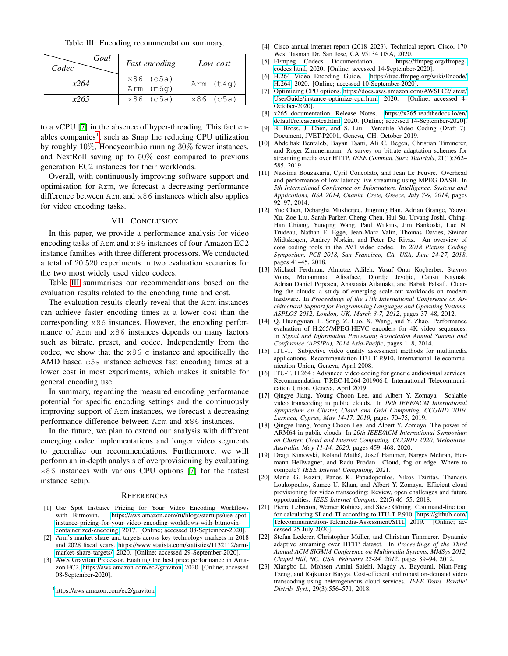Table III: Encoding recommendation summary.

<span id="page-8-25"></span>

| Goal<br>Codec | <b>Fast encoding</b>   | Low cost        |  |  |
|---------------|------------------------|-----------------|--|--|
| x264          | x86 (c5a)<br>Arm (m6q) | Arm (t4q)       |  |  |
| x265          | x86 (c5a)              | $x86$ ( $c5a$ ) |  |  |

to a vCPU [\[7\]](#page-8-23) in the absence of hyper-threading. This fact en-ables companies<sup>[1](#page-8-24)</sup>, such as Snap Inc reducing CPU utilization by roughly 10%, Honeycomb.io running 30% fewer instances, and NextRoll saving up to 50% cost compared to previous generation EC2 instances for their workloads.

Overall, with continuously improving software support and optimisation for Arm, we forecast a decreasing performance difference between Arm and x86 instances which also applies for video encoding tasks.

# VII. CONCLUSION

<span id="page-8-9"></span>In this paper, we provide a performance analysis for video encoding tasks of Arm and x86 instances of four Amazon EC2 instance families with three different processors. We conducted a total of 20.520 experiments in two evaluation scenarios for the two most widely used video codecs.

Table [III](#page-8-25) summarises our recommendations based on the evaluation results related to the encoding time and cost.

The evaluation results clearly reveal that the Arm instances can achieve faster encoding times at a lower cost than the corresponding x86 instances. However, the encoding performance of Arm and x86 instances depends on many factors such as bitrate, preset, and codec. Independently from the codec, we show that the  $x86$  c instance and specifically the AMD based c5a instance achieves fast encoding times at a lower cost in most experiments, which makes it suitable for general encoding use.

In summary, regarding the measured encoding performance potential for specific encoding settings and the continuously improving support of Arm instances, we forecast a decreasing performance difference between Arm and x86 instances.

In the future, we plan to extend our analysis with different emerging codec implementations and longer video segments to generalize our recommendations. Furthermore, we will perform an in-depth analysis of overprovisioning by evaluating x86 instances with various CPU options [\[7\]](#page-8-23) for the fastest instance setup.

#### **REFERENCES**

- <span id="page-8-5"></span>[1] Use Spot Instance Pricing for Your Video Encoding Workflows with Bitmovin. https://aws.amazon.[com/ru/blogs/startups/use-spot](https://aws.amazon.com/ru/blogs/startups/use-spot-instance-pricing-for-your-video-encoding-workflows-with-bitmovin-containerized-encoding)[instance-pricing-for-your-video-encoding-workflows-with-bitmovin](https://aws.amazon.com/ru/blogs/startups/use-spot-instance-pricing-for-your-video-encoding-workflows-with-bitmovin-containerized-encoding)[containerized-encoding,](https://aws.amazon.com/ru/blogs/startups/use-spot-instance-pricing-for-your-video-encoding-workflows-with-bitmovin-containerized-encoding) 2017. [Online; accessed 08-September-2020].
- <span id="page-8-20"></span>[2] Arm's market share and targets across key technology markets in 2018 and 2028 fiscal years. https://www.statista.[com/statistics/1132112/arm](https://www.statista.com/statistics/1132112/arm-market-share-targets/)[market-share-targets/,](https://www.statista.com/statistics/1132112/arm-market-share-targets/) 2020. [Online; accessed 29-September-2020].
- <span id="page-8-7"></span>[3] AWS Graviton Processor. Enabling the best price performance in Amazon EC2. https://aws.amazon.[com/ec2/graviton,](https://aws.amazon.com/ec2/graviton) 2020. [Online; accessed 08-September-2020].

<span id="page-8-24"></span><sup>1</sup>https://aws.amazon.[com/ec2/graviton](https://aws.amazon.com/ec2/graviton)

- <span id="page-8-0"></span>[4] Cisco annual internet report (2018–2023). Technical report, Cisco, 170 West Tasman Dr. San Jose, CA 95134 USA, 2020.<br>FFmpeg Codecs Documentation. https://ffmpeg.org/ffmpeg-
- <span id="page-8-8"></span>[5] FFmpeg Codecs Documentation. [codecs](https://ffmpeg.org/ffmpeg-codecs.html).html, 2020. [Online; accessed 14-September-2020].
- <span id="page-8-19"></span>[6] H.264 Video Encoding Guide. https://trac.ffmpeg.[org/wiki/Encode/](https://trac.ffmpeg.org/wiki/Encode/H.264) H.[264,](https://trac.ffmpeg.org/wiki/Encode/H.264) 2020. [Online; accessed 10-September-2020].
- <span id="page-8-23"></span>[7] Optimizing CPU options. https://docs.aws.amazon.[com/AWSEC2/latest/](https://docs.aws.amazon.com/AWSEC2/latest/UserGuide/instance-optimize-cpu.html) [UserGuide/instance-optimize-cpu](https://docs.aws.amazon.com/AWSEC2/latest/UserGuide/instance-optimize-cpu.html).html, 2020. [Online; accessed 4- October-2020].
- <span id="page-8-22"></span>[8] x265 documentation. Release Notes. [https://x265](https://x265.readthedocs.io/en/default/releasenotes.html).readthedocs.io/en/ [default/releasenotes](https://x265.readthedocs.io/en/default/releasenotes.html).html, 2020. [Online; accessed 14-September-2020].
- <span id="page-8-3"></span>[9] B. Bross, J. Chen, and S. Liu. Versatile Video Coding (Draft 7). Document, JVET-P2001, Geneva, CH, October 2019.
- <span id="page-8-1"></span>[10] Abdelhak Bentaleb, Bayan Taani, Ali C. Begen, Christian Timmerer, and Roger Zimmermann. A survey on bitrate adaptation schemes for streaming media over HTTP. *IEEE Commun. Surv. Tutorials*, 21(1):562– 585, 2019.
- <span id="page-8-15"></span>[11] Nassima Bouzakaria, Cyril Concolato, and Jean Le Feuvre. Overhead and performance of low latency live streaming using MPEG-DASH. In *5th International Conference on Information, Intelligence, Systems and Applications, IISA 2014, Chania, Crete, Greece, July 7-9, 2014*, pages 92–97, 2014.
- <span id="page-8-2"></span>[12] Yue Chen, Debargha Mukherjee, Jingning Han, Adrian Grange, Yaowu Xu, Zoe Liu, Sarah Parker, Cheng Chen, Hui Su, Urvang Joshi, Ching-Han Chiang, Yunqing Wang, Paul Wilkins, Jim Bankoski, Luc N. Trudeau, Nathan E. Egge, Jean-Marc Valin, Thomas Davies, Steinar Midtskogen, Andrey Norkin, and Peter De Rivaz. An overview of core coding tools in the AV1 video codec. In *2018 Picture Coding Symposium, PCS 2018, San Francisco, CA, USA, June 24-27, 2018*, pages 41–45, 2018.
- <span id="page-8-12"></span>[13] Michael Ferdman, Almutaz Adileh, Yusuf Onur Koçberber, Stavros Volos, Mohammad Alisafaee, Djordje Jevdjic, Cansu Kaynak, Adrian Daniel Popescu, Anastasia Ailamaki, and Babak Falsafi. Clearing the clouds: a study of emerging scale-out workloads on modern hardware. In *Proceedings of the 17th International Conference on Architectural Support for Programming Languages and Operating Systems, ASPLOS 2012, London, UK, March 3-7, 2012*, pages 37–48, 2012.
- <span id="page-8-18"></span>[14] Q. Huangyuan, L. Song, Z. Luo, X. Wang, and Y. Zhao. Performance evaluation of H.265/MPEG-HEVC encoders for 4K video sequences. In *Signal and Information Processing Association Annual Summit and Conference (APSIPA), 2014 Asia-Pacific*, pages 1–8, 2014.
- <span id="page-8-16"></span>[15] ITU-T. Subjective video quality assessment methods for multimedia applications. Recommendation ITU-T P.910, International Telecommunication Union, Geneva, April 2008.
- <span id="page-8-17"></span>[16] ITU-T. H.264 : Advanced video coding for generic audiovisual services. Recommendation T-REC-H.264-201906-I, International Telecommunication Union, Geneva, April 2019.
- <span id="page-8-13"></span>[17] Qingye Jiang, Young Choon Lee, and Albert Y. Zomaya. Scalable video transcoding in public clouds. In *19th IEEE/ACM International Symposium on Cluster, Cloud and Grid Computing, CCGRID 2019, Larnaca, Cyprus, May 14-17, 2019*, pages 70–75, 2019.
- <span id="page-8-11"></span>[18] Qingye Jiang, Young Choon Lee, and Albert Y. Zomaya. The power of ARM64 in public clouds. In *20th IEEE/ACM International Symposium on Cluster, Cloud and Internet Computing, CCGRID 2020, Melbourne, Australia, May 11-14, 2020*, pages 459–468, 2020.
- <span id="page-8-6"></span>[19] Dragi Kimovski, Roland Mathá, Josef Hammer, Narges Mehran, Hermann Hellwagner, and Radu Prodan. Cloud, fog or edge: Where to compute? *IEEE Internet Computing*, 2021.
- <span id="page-8-4"></span>[20] Maria G. Koziri, Panos K. Papadopoulos, Nikos Tziritas, Thanasis Loukopoulos, Samee U. Khan, and Albert Y. Zomaya. Efficient cloud provisioning for video transcoding: Review, open challenges and future opportunities. *IEEE Internet Comput.*, 22(5):46–55, 2018.
- <span id="page-8-21"></span>[21] Pierre Lebreton, Werner Robitza, and Steve Göring. Command-line tool for calculating SI and TI according to ITU-T P.910. [https://github](https://github.com/Telecommunication-Telemedia-Assessment/SITI).com/ [Telecommunication-Telemedia-Assessment/SITI,](https://github.com/Telecommunication-Telemedia-Assessment/SITI) 2019. [Online; accessed 25-July-2020].
- <span id="page-8-14"></span>[22] Stefan Lederer, Christopher Müller, and Christian Timmerer. Dynamic adaptive streaming over HTTP dataset. In *Proceedings of the Third Annual ACM SIGMM Conference on Multimedia Systems, MMSys 2012, Chapel Hill, NC, USA, February 22-24, 2012*, pages 89–94, 2012.
- <span id="page-8-10"></span>[23] Xiangbo Li, Mohsen Amini Salehi, Magdy A. Bayoumi, Nian-Feng Tzeng, and Rajkumar Buyya. Cost-efficient and robust on-demand video transcoding using heterogeneous cloud services. *IEEE Trans. Parallel Distrib. Syst.*, 29(3):556–571, 2018.